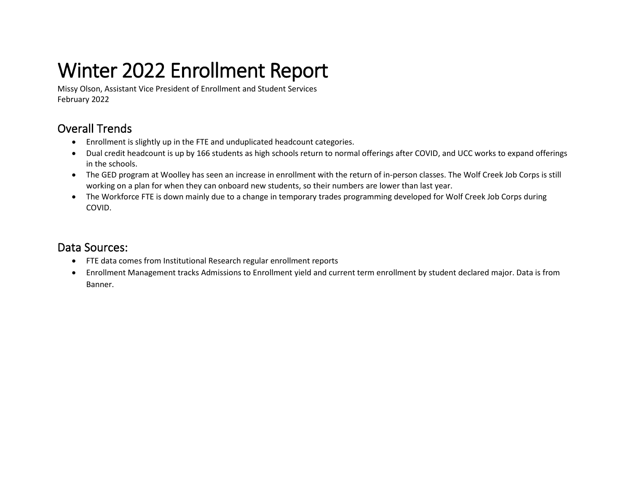# Winter 2022 Enrollment Report

Missy Olson, Assistant Vice President of Enrollment and Student Services February 2022

### Overall Trends

- Enrollment is slightly up in the FTE and unduplicated headcount categories.
- Dual credit headcount is up by 166 students as high schools return to normal offerings after COVID, and UCC works to expand offerings in the schools.
- The GED program at Woolley has seen an increase in enrollment with the return of in-person classes. The Wolf Creek Job Corps is still working on a plan for when they can onboard new students, so their numbers are lower than last year.
- The Workforce FTE is down mainly due to a change in temporary trades programming developed for Wolf Creek Job Corps during COVID.

#### Data Sources:

- FTE data comes from Institutional Research regular enrollment reports
- Enrollment Management tracks Admissions to Enrollment yield and current term enrollment by student declared major. Data is from Banner.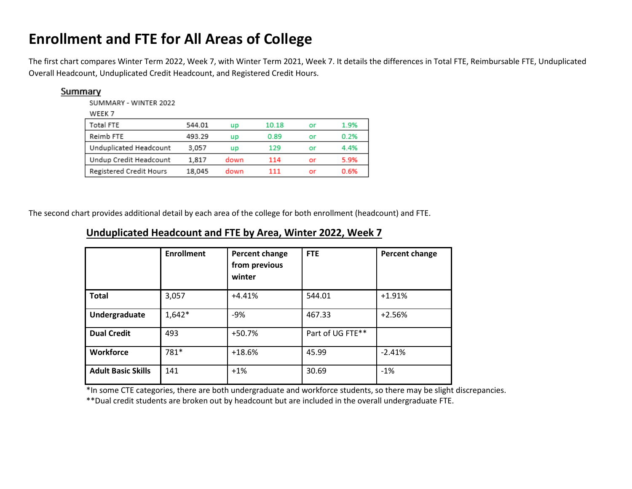### **Enrollment and FTE for All Areas of College**

The first chart compares Winter Term 2022, Week 7, with Winter Term 2021, Week 7. It details the differences in Total FTE, Reimbursable FTE, Unduplicated Overall Headcount, Unduplicated Credit Headcount, and Registered Credit Hours.

| Summary |                         |        |      |       |    |      |
|---------|-------------------------|--------|------|-------|----|------|
|         | SUMMARY - WINTER 2022   |        |      |       |    |      |
|         | WEEK 7                  |        |      |       |    |      |
|         | Total FTE               | 544.01 | up   | 10.18 | or | 1.9% |
|         | Reimb FTE               | 493.29 | up   | 0.89  | or | 0.2% |
|         | Unduplicated Headcount  | 3.057  | up   | 129   | or | 4.4% |
|         | Undup Credit Headcount  | 1.817  | down | 114   | or | 5.9% |
|         | Registered Credit Hours | 18,045 | down | 111   | or | 0.6% |

The second chart provides additional detail by each area of the college for both enrollment (headcount) and FTE.

|                           | <b>Enrollment</b> | Percent change<br>from previous<br>winter | <b>FTE</b>       | Percent change |
|---------------------------|-------------------|-------------------------------------------|------------------|----------------|
| <b>Total</b>              | 3,057             | $+4.41%$                                  | 544.01           | $+1.91%$       |
| Undergraduate             | $1,642*$          | $-9%$                                     | 467.33           | $+2.56%$       |
| <b>Dual Credit</b>        | 493               | $+50.7%$                                  | Part of UG FTE** |                |
| Workforce                 | 781*              | $+18.6%$                                  | 45.99            | $-2.41%$       |
| <b>Adult Basic Skills</b> | 141               | $+1%$                                     | 30.69            | $-1%$          |

#### **Unduplicated Headcount and FTE by Area, Winter 2022, Week 7**

\*In some CTE categories, there are both undergraduate and workforce students, so there may be slight discrepancies.

\*\*Dual credit students are broken out by headcount but are included in the overall undergraduate FTE.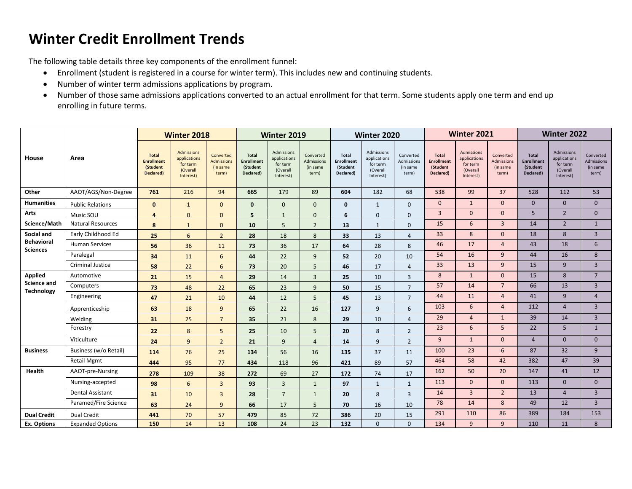## **Winter Credit Enrollment Trends**

The following table details three key components of the enrollment funnel:

- Enrollment (student is registered in a course for winter term). This includes new and continuing students.
- Number of winter term admissions applications by program.
- Number of those same admissions applications converted to an actual enrollment for that term. Some students apply one term and end up enrolling in future terms.

|                                         | Area                     | <b>Winter 2018</b>                                         |                                                                        | Winter 2019                                         |                                                            | Winter 2020                                                     |                                              |                                                            | Winter 2021                                                     |                                              |                                                            | <b>Winter 2022</b>                                                     |                                              |                                                            |                                                                        |                                              |
|-----------------------------------------|--------------------------|------------------------------------------------------------|------------------------------------------------------------------------|-----------------------------------------------------|------------------------------------------------------------|-----------------------------------------------------------------|----------------------------------------------|------------------------------------------------------------|-----------------------------------------------------------------|----------------------------------------------|------------------------------------------------------------|------------------------------------------------------------------------|----------------------------------------------|------------------------------------------------------------|------------------------------------------------------------------------|----------------------------------------------|
| House                                   |                          | <b>Total</b><br><b>Enrollment</b><br>(Student<br>Declared) | <b>Admissions</b><br>applications<br>for term<br>(Overall<br>Interest) | Converted<br><b>Admissions</b><br>(in same<br>term) | <b>Total</b><br><b>Enrollment</b><br>(Student<br>Declared) | Admissions<br>applications<br>for term<br>(Overall<br>Interest) | Converted<br>Admissions<br>(in same<br>term) | <b>Total</b><br><b>Enrollment</b><br>(Student<br>Declared) | Admissions<br>applications<br>for term<br>(Overall<br>Interest) | Converted<br>Admissions<br>(in same<br>term) | <b>Total</b><br><b>Enrollment</b><br>(Student<br>Declared) | <b>Admissions</b><br>applications<br>for term<br>(Overall<br>Interest) | Converted<br>Admissions<br>(in same<br>term) | <b>Total</b><br><b>Enrollment</b><br>(Student<br>Declared) | <b>Admissions</b><br>applications<br>for term<br>(Overall<br>Interest) | Converted<br>Admissions<br>(in same<br>term) |
| Other                                   | AAOT/AGS/Non-Degree      | 761                                                        | 216                                                                    | 94                                                  | 665                                                        | 179                                                             | 89                                           | 604                                                        | 182                                                             | 68                                           | 538                                                        | 99                                                                     | 37                                           | 528                                                        | 112                                                                    | 53                                           |
| <b>Humanities</b>                       | <b>Public Relations</b>  | $\mathbf{0}$                                               | 1                                                                      | $\mathbf{0}$                                        | $\mathbf{0}$                                               | $\mathbf{0}$                                                    | $\mathbf{0}$                                 | $\mathbf{0}$                                               | 1                                                               | $\mathbf{0}$                                 | $\mathbf{0}$                                               | $\mathbf{1}$                                                           | $\Omega$                                     | $\mathbf{0}$                                               | $\mathbf{0}$                                                           | $\Omega$                                     |
| <b>Arts</b>                             | Music SOU                | $\overline{4}$                                             | $\mathbf{0}$                                                           | $\mathbf{0}$                                        | 5                                                          | $\mathbf{1}$                                                    | $\mathbf{0}$                                 | 6                                                          | $\mathbf{0}$                                                    | $\mathbf{0}$                                 | $\overline{3}$                                             | $\mathbf{0}$                                                           | $\mathbf{0}$                                 | 5                                                          | $\overline{2}$                                                         | $\mathbf{0}$                                 |
| Science/Math                            | <b>Natural Resources</b> | 8                                                          | $\mathbf{1}$                                                           | $\mathbf{0}$                                        | 10                                                         | 5                                                               | $\overline{2}$                               | 13                                                         | $\mathbf{1}$                                                    | $\mathbf{0}$                                 | 15                                                         | 6                                                                      | $\overline{3}$                               | 14                                                         | $\overline{2}$                                                         | $\mathbf{1}$                                 |
| Social and                              | Early Childhood Ed       | 25                                                         | 6                                                                      | $\overline{2}$                                      | 28                                                         | 18                                                              | 8                                            | 33                                                         | 13                                                              | $\overline{4}$                               | 33                                                         | 8                                                                      | $\mathbf{0}$                                 | 18                                                         | 8                                                                      | $\overline{3}$                               |
| <b>Behavioral</b><br>Sciences           | <b>Human Services</b>    | 56                                                         | 36                                                                     | 11                                                  | 73                                                         | 36                                                              | 17                                           | 64                                                         | 28                                                              | 8                                            | 46                                                         | 17                                                                     | $\overline{4}$                               | 43                                                         | 18                                                                     | 6                                            |
|                                         | Paralegal                | 34                                                         | 11                                                                     | 6                                                   | 44                                                         | 22                                                              | 9                                            | 52                                                         | 20                                                              | 10                                           | 54                                                         | 16                                                                     | 9                                            | 44                                                         | 16                                                                     | 8                                            |
|                                         | <b>Criminal Justice</b>  | 58                                                         | 22                                                                     | 6                                                   | 73                                                         | 20                                                              | 5                                            | 46                                                         | 17                                                              | $\overline{4}$                               | 33                                                         | 13                                                                     | 9                                            | 15                                                         | 9                                                                      | $\overline{3}$                               |
| Applied                                 | Automotive               | 21                                                         | 15                                                                     | $\overline{4}$                                      | 29                                                         | 14                                                              | 3                                            | 25                                                         | 10                                                              | $\overline{3}$                               | 8                                                          | $\mathbf{1}$                                                           | $\Omega$                                     | 15                                                         | 8                                                                      | $\overline{7}$                               |
| <b>Science and</b><br><b>Technology</b> | Computers                | 73                                                         | 48                                                                     | 22                                                  | 65                                                         | 23                                                              | 9                                            | 50                                                         | 15                                                              | $\overline{7}$                               | 57                                                         | 14                                                                     | $7\overline{ }$                              | 66                                                         | 13                                                                     | $\overline{3}$                               |
|                                         | Engineering              | 47                                                         | 21                                                                     | 10                                                  | 44                                                         | 12                                                              | 5                                            | 45                                                         | 13                                                              | $\overline{7}$                               | 44                                                         | 11                                                                     | $\overline{4}$                               | 41                                                         | 9                                                                      | $\overline{4}$                               |
|                                         | Apprenticeship           | 63                                                         | 18                                                                     | 9                                                   | 65                                                         | 22                                                              | 16                                           | 127                                                        | 9                                                               | 6                                            | 103                                                        | 6                                                                      | $\overline{4}$                               | 112                                                        | $\overline{4}$                                                         | $\overline{3}$                               |
|                                         | Welding                  | 31                                                         | 25                                                                     | $\overline{7}$                                      | 35                                                         | 21                                                              | 8                                            | 29                                                         | 10                                                              | $\overline{4}$                               | 29                                                         | $\overline{4}$                                                         | 1                                            | 39                                                         | 14                                                                     | $\overline{3}$                               |
|                                         | Forestry                 | 22                                                         | 8                                                                      | 5                                                   | 25                                                         | 10                                                              | 5                                            | 20                                                         | 8                                                               | $\overline{2}$                               | 23                                                         | 6                                                                      | 5                                            | 22                                                         | 5                                                                      | $\mathbf{1}$                                 |
|                                         | Viticulture              | 24                                                         | 9                                                                      | $\overline{2}$                                      | 21                                                         | 9                                                               | $\overline{4}$                               | 14                                                         | 9                                                               | $\overline{2}$                               | 9                                                          | $\mathbf{1}$                                                           | $\mathbf{0}$                                 | $\overline{4}$                                             | $\mathbf{0}$                                                           | $\mathbf{0}$                                 |
| <b>Business</b>                         | Business (w/o Retail)    | 114                                                        | 76                                                                     | 25                                                  | 134                                                        | 56                                                              | 16                                           | 135                                                        | 37                                                              | 11                                           | 100                                                        | 23                                                                     | 6                                            | 87                                                         | 32                                                                     | 9                                            |
|                                         | <b>Retail Mgmt</b>       | 444                                                        | 95                                                                     | 77                                                  | 434                                                        | 118                                                             | 96                                           | 421                                                        | 89                                                              | 57                                           | 464                                                        | 58                                                                     | 42                                           | 382                                                        | 47                                                                     | 39                                           |
| Health                                  | AAOT-pre-Nursing         | 278                                                        | 109                                                                    | 38                                                  | 272                                                        | 69                                                              | 27                                           | 172                                                        | 74                                                              | 17                                           | 162                                                        | 50                                                                     | 20                                           | 147                                                        | 41                                                                     | 12                                           |
|                                         | Nursing-accepted         | 98                                                         | 6                                                                      | $\overline{3}$                                      | 93                                                         | 3                                                               | $\mathbf{1}$                                 | 97                                                         | $\mathbf{1}$                                                    | $\mathbf{1}$                                 | 113                                                        | $\mathbf{0}$                                                           | $\mathbf{0}$                                 | 113                                                        | $\mathbf{0}$                                                           | $\mathbf{0}$                                 |
|                                         | Dental Assistant         | 31                                                         | 10                                                                     | $\overline{3}$                                      | 28                                                         | $7\overline{ }$                                                 | $\mathbf{1}$                                 | 20                                                         | 8                                                               | $\overline{3}$                               | 14                                                         | $\overline{3}$                                                         | $\overline{2}$                               | 13                                                         | $\overline{4}$                                                         | $\overline{3}$                               |
|                                         | Paramed/Fire Science     | 63                                                         | 24                                                                     | 9                                                   | 66                                                         | 17                                                              | 5                                            | 70                                                         | 16                                                              | 10                                           | 78                                                         | 14                                                                     | 8                                            | 49                                                         | 12                                                                     | $\overline{3}$                               |
| <b>Dual Credit</b>                      | <b>Dual Credit</b>       | 441                                                        | 70                                                                     | 57                                                  | 479                                                        | 85                                                              | 72                                           | 386                                                        | 20                                                              | 15                                           | 291                                                        | 110                                                                    | 86                                           | 389                                                        | 184                                                                    | 153                                          |
| Ex. Options                             | <b>Expanded Options</b>  | 150                                                        | 14                                                                     | 13                                                  | 108                                                        | 24                                                              | 23                                           | 132                                                        | $\Omega$                                                        | $\Omega$                                     | 134                                                        | 9                                                                      | 9                                            | 110                                                        | 11                                                                     | 8                                            |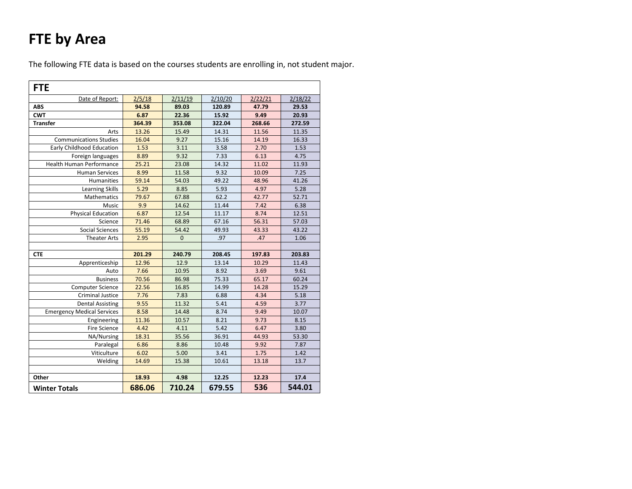# **FTE by Area**

The following FTE data is based on the courses students are enrolling in, not student major.

| <b>FTE</b>                        |        |             |         |         |         |  |  |  |
|-----------------------------------|--------|-------------|---------|---------|---------|--|--|--|
| Date of Report:                   | 2/5/18 | 2/11/19     | 2/10/20 | 2/22/21 | 2/18/22 |  |  |  |
| <b>ABS</b>                        | 94.58  | 89.03       | 120.89  | 47.79   | 29.53   |  |  |  |
| <b>CWT</b>                        | 6.87   | 22.36       | 15.92   | 9.49    | 20.93   |  |  |  |
| <b>Transfer</b>                   | 364.39 | 353.08      | 322.04  | 268.66  | 272.59  |  |  |  |
| Arts                              | 13.26  | 15.49       | 14.31   | 11.56   | 11.35   |  |  |  |
| <b>Communications Studies</b>     | 16.04  | 9.27        | 15.16   | 14.19   | 16.33   |  |  |  |
| <b>Early Childhood Education</b>  | 1.53   | 3.11        | 3.58    | 2.70    | 1.53    |  |  |  |
| Foreign languages                 | 8.89   | 9.32        | 7.33    | 6.13    | 4.75    |  |  |  |
| Health Human Performance          | 25.21  | 23.08       | 14.32   | 11.02   | 11.93   |  |  |  |
| <b>Human Services</b>             | 8.99   | 11.58       | 9.32    | 10.09   | 7.25    |  |  |  |
| Humanities                        | 59.14  | 54.03       | 49.22   | 48.96   | 41.26   |  |  |  |
| <b>Learning Skills</b>            | 5.29   | 8.85        | 5.93    | 4.97    | 5.28    |  |  |  |
| Mathematics                       | 79.67  | 67.88       | 62.2    | 42.77   | 52.71   |  |  |  |
| Music                             | 9.9    | 14.62       | 11.44   | 7.42    | 6.38    |  |  |  |
| <b>Physical Education</b>         | 6.87   | 12.54       | 11.17   | 8.74    | 12.51   |  |  |  |
| Science                           | 71.46  | 68.89       | 67.16   | 56.31   | 57.03   |  |  |  |
| <b>Social Sciences</b>            | 55.19  | 54.42       | 49.93   | 43.33   | 43.22   |  |  |  |
| <b>Theater Arts</b>               | 2.95   | $\mathbf 0$ | .97     | .47     | 1.06    |  |  |  |
|                                   |        |             |         |         |         |  |  |  |
| <b>CTE</b>                        | 201.29 | 240.79      | 208.45  | 197.83  | 203.83  |  |  |  |
| Apprenticeship                    | 12.96  | 12.9        | 13.14   | 10.29   | 11.43   |  |  |  |
| Auto                              | 7.66   | 10.95       | 8.92    | 3.69    | 9.61    |  |  |  |
| <b>Business</b>                   | 70.56  | 86.98       | 75.33   | 65.17   | 60.24   |  |  |  |
| Computer Science                  | 22.56  | 16.85       | 14.99   | 14.28   | 15.29   |  |  |  |
| <b>Criminal Justice</b>           | 7.76   | 7.83        | 6.88    | 4.34    | 5.18    |  |  |  |
| <b>Dental Assisting</b>           | 9.55   | 11.32       | 5.41    | 4.59    | 3.77    |  |  |  |
| <b>Emergency Medical Services</b> | 8.58   | 14.48       | 8.74    | 9.49    | 10.07   |  |  |  |
| Engineering                       | 11.36  | 10.57       | 8.21    | 9.73    | 8.15    |  |  |  |
| <b>Fire Science</b>               | 4.42   | 4.11        | 5.42    | 6.47    | 3.80    |  |  |  |
| NA/Nursing                        | 18.31  | 35.56       | 36.91   | 44.93   | 53.30   |  |  |  |
| Paralegal                         | 6.86   | 8.86        | 10.48   | 9.92    | 7.87    |  |  |  |
| Viticulture                       | 6.02   | 5.00        | 3.41    | 1.75    | 1.42    |  |  |  |
| Welding                           | 14.69  | 15.38       | 10.61   | 13.18   | 13.7    |  |  |  |
|                                   |        |             |         |         |         |  |  |  |
| Other                             | 18.93  | 4.98        | 12.25   | 12.23   | 17.4    |  |  |  |
| <b>Winter Totals</b>              | 686.06 | 710.24      | 679.55  | 536     | 544.01  |  |  |  |